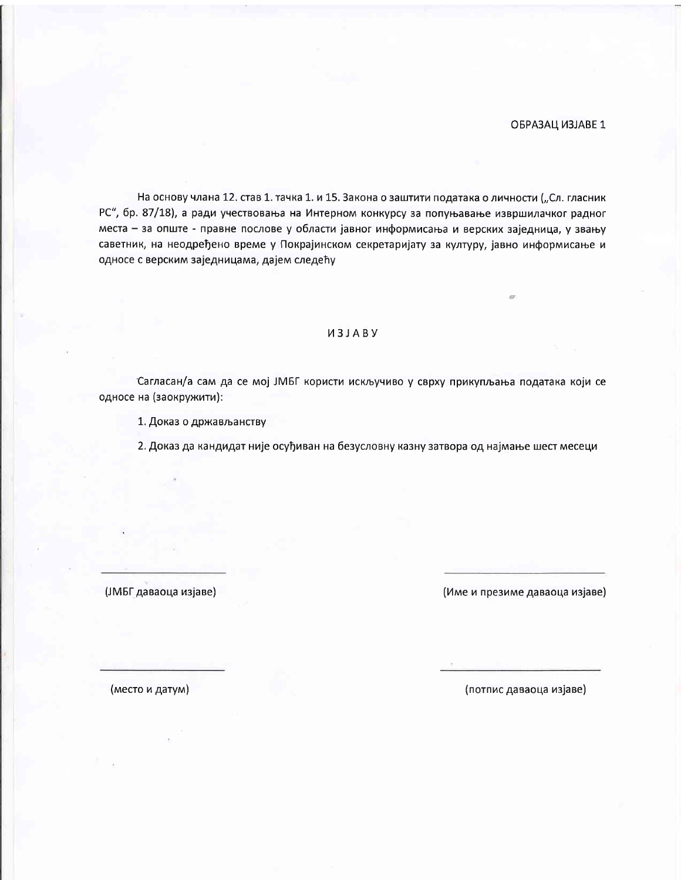#### ОБРАЗАЦ ИЗЈАВЕ 1

На основу члана 12. став 1. тачка 1. и 15. Закона о заштити података о личности ("Сл. гласник РС", бр. 87/18), а ради учествовања на Интерном конкурсу за попуњавање извршилачког радног места - за опште - правне послове у области јавног информисања и верских заједница, у звању саветник, на неодређено време у Покрајинском секретаријату за културу, јавно информисање и односе с верским заједницама, дајем следећу

## *M3JABY*

Сагласан/а сам да се мој ЈМБГ користи искључиво у сврху прикупљања података који се односе на (заокружити):

1. Доказ о држављанству

2. Доказ да кандидат није осуђиван на безусловну казну затвора од најмање шест месеци

(ЈМБГ даваоца изјаве)

(Име и презиме даваоца изјаве)

(место и датум)

(потпис даваоца изјаве)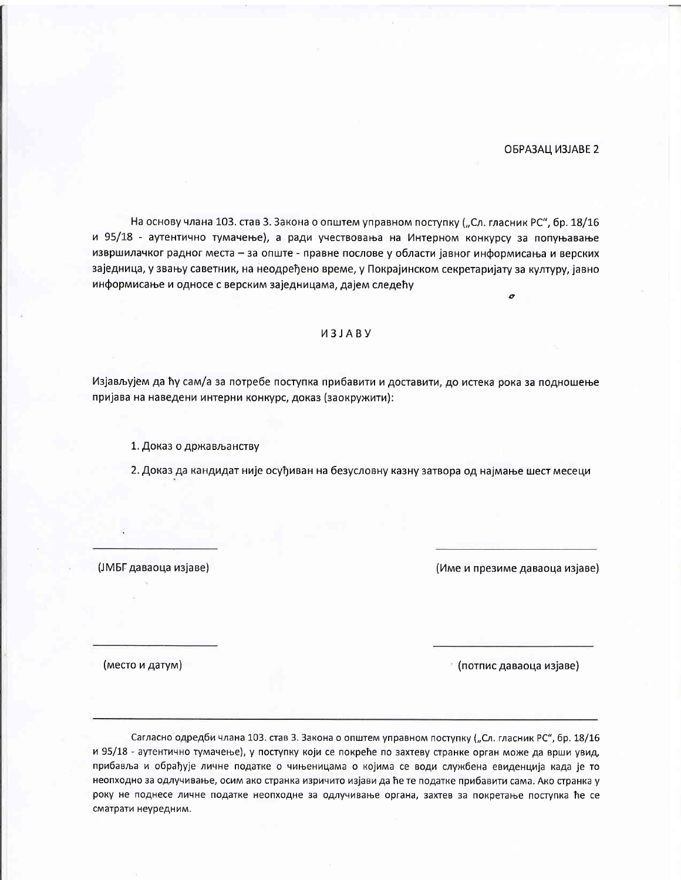#### ОБРАЗАЦ ИЗЈАВЕ 2

На основу члана 103. став 3. Закона о општем управном поступку ("Сл. гласник РС", бр. 18/16 и 95/18 - аутентично тумачење), а ради учествовања на Интерном конкурсу за попуњавање извршилачког радног места - за опште - правне послове у области јавног информисања и верских заједница, у звању саветник, на неодређено време, у Покрајинском секретаријату за културу, јавно информисање и односе с верским заједницама, дајем следећу

#### *M3JABY*

Изјављујем да ћу сам/а за потребе поступка прибавити и доставити, до истека рока за подношење пријава на наведени интерни конкурс, доказ (заокружити):

1. Доказ о држављанству

2. Доказ да кандидат није осуђиван на безусловну казну затвора од најмање шест месеци

(ЈМБГ даваоца изјаве)

(Име и презиме даваоца изјаве)

(место и датум)

\* (потпис даваоца изјаве)

Сагласно одредби члана 103. став 3. Закона о општем управном поступку ("Сл. гласник РС", бр. 18/16 и 95/18 - аутентично тумачење), у поступку који се покреће по захтеву странке орган може да врши увид, прибавља и обрађује личне податке о чињеницама о којима се води службена евиденција када је то неопходно за одлучивање, осим ако странка изричито изјави да ће те податке прибавити сама. Ако странка у року не поднесе личне податке неопходне за одлучивање органа, захтев за покретање поступка ће се сматрати неуредним.